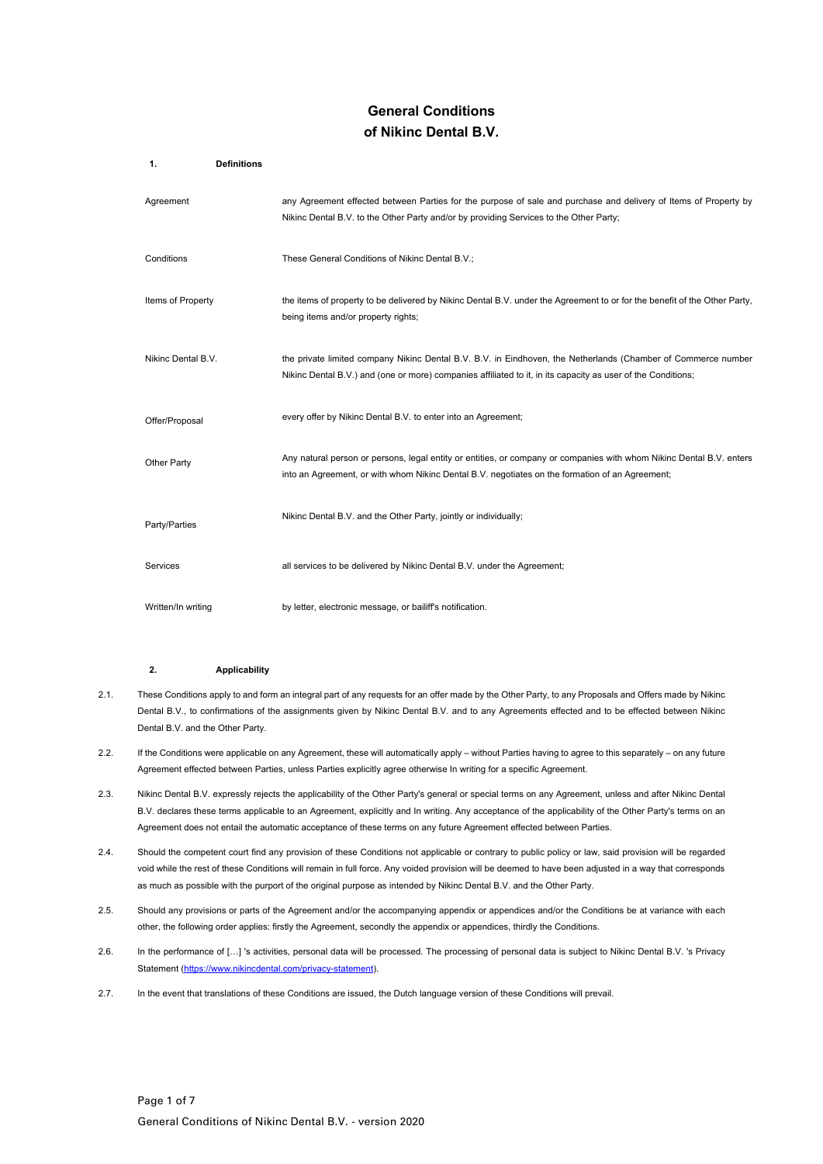# **General Conditions of Nikinc Dental B.V.**

| <b>Definitions</b><br>1. |                                                                                                                                                                                                                               |
|--------------------------|-------------------------------------------------------------------------------------------------------------------------------------------------------------------------------------------------------------------------------|
| Agreement                | any Agreement effected between Parties for the purpose of sale and purchase and delivery of Items of Property by<br>Nikinc Dental B.V. to the Other Party and/or by providing Services to the Other Party;                    |
| Conditions               | These General Conditions of Nikinc Dental B.V.;                                                                                                                                                                               |
| Items of Property        | the items of property to be delivered by Nikinc Dental B.V. under the Agreement to or for the benefit of the Other Party,<br>being items and/or property rights;                                                              |
| Nikinc Dental B.V.       | the private limited company Nikinc Dental B.V. B.V. in Eindhoven, the Netherlands (Chamber of Commerce number<br>Nikinc Dental B.V.) and (one or more) companies affiliated to it, in its capacity as user of the Conditions; |
| Offer/Proposal           | every offer by Nikinc Dental B.V. to enter into an Agreement;                                                                                                                                                                 |
| Other Party              | Any natural person or persons, legal entity or entities, or company or companies with whom Nikinc Dental B.V. enters<br>into an Agreement, or with whom Nikinc Dental B.V. negotiates on the formation of an Agreement;       |
| Party/Parties            | Nikinc Dental B.V. and the Other Party, jointly or individually;                                                                                                                                                              |
| Services                 | all services to be delivered by Nikinc Dental B.V. under the Agreement;                                                                                                                                                       |
| Written/In writing       | by letter, electronic message, or bailiff's notification.                                                                                                                                                                     |

# **2. Applicability**

- 2.1. These Conditions apply to and form an integral part of any requests for an offer made by the Other Party, to any Proposals and Offers made by Nikinc Dental B.V., to confirmations of the assignments given by Nikinc Dental B.V. and to any Agreements effected and to be effected between Nikinc Dental B.V. and the Other Party.
- 2.2. If the Conditions were applicable on any Agreement, these will automatically apply without Parties having to agree to this separately on any future Agreement effected between Parties, unless Parties explicitly agree otherwise In writing for a specific Agreement.
- 2.3. Nikinc Dental B.V. expressly rejects the applicability of the Other Party's general or special terms on any Agreement, unless and after Nikinc Dental B.V. declares these terms applicable to an Agreement, explicitly and In writing. Any acceptance of the applicability of the Other Party's terms on an Agreement does not entail the automatic acceptance of these terms on any future Agreement effected between Parties.
- 2.4. Should the competent court find any provision of these Conditions not applicable or contrary to public policy or law, said provision will be regarded void while the rest of these Conditions will remain in full force. Any voided provision will be deemed to have been adjusted in a way that corresponds as much as possible with the purport of the original purpose as intended by Nikinc Dental B.V. and the Other Party.
- 2.5. Should any provisions or parts of the Agreement and/or the accompanying appendix or appendices and/or the Conditions be at variance with each other, the following order applies: firstly the Agreement, secondly the appendix or appendices, thirdly the Conditions.
- 2.6. In the performance of […] 's activities, personal data will be processed. The processing of personal data is subject to Nikinc Dental B.V. 's Privacy Statement (https://www.nikincdental.com/privacy-statement).
- 2.7. In the event that translations of these Conditions are issued, the Dutch language version of these Conditions will prevail.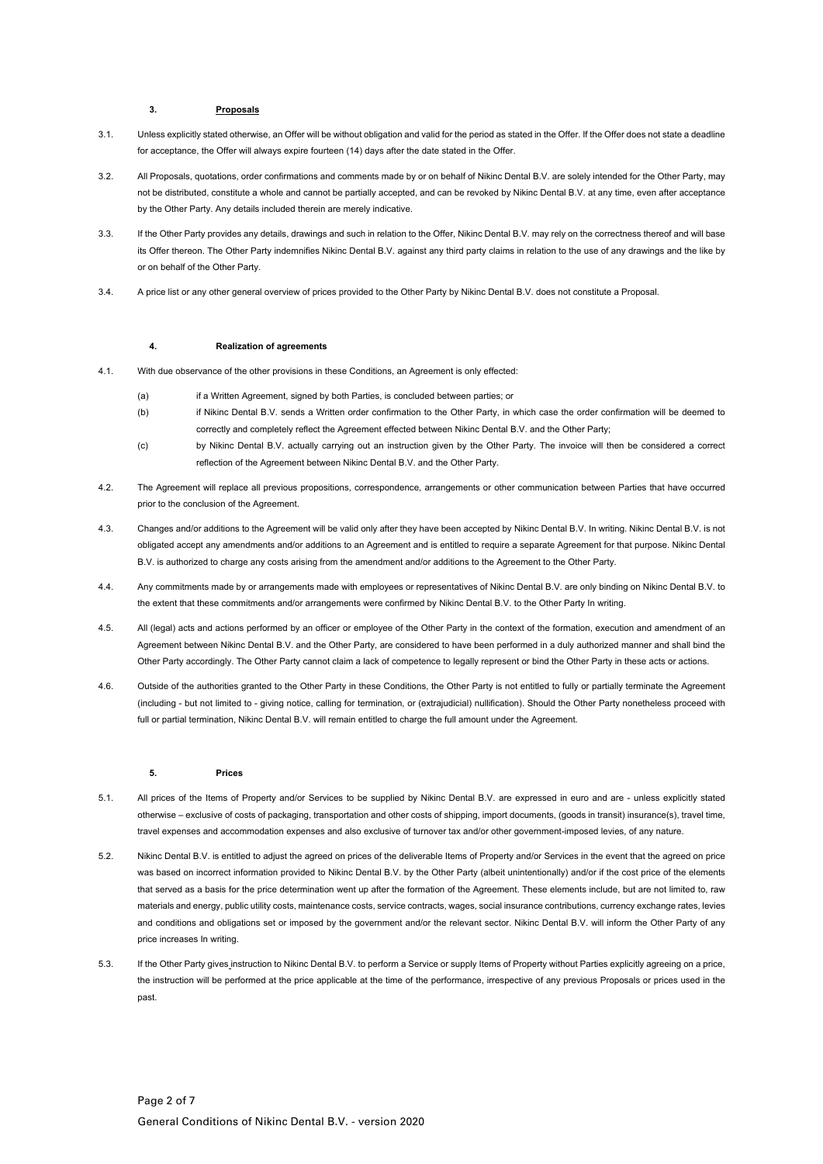# **3. Proposals**

- 3.1. Unless explicitly stated otherwise, an Offer will be without obligation and valid for the period as stated in the Offer. If the Offer does not state a deadline for acceptance, the Offer will always expire fourteen (14) days after the date stated in the Offer.
- 3.2. All Proposals, quotations, order confirmations and comments made by or on behalf of Nikinc Dental B.V. are solely intended for the Other Party, may not be distributed, constitute a whole and cannot be partially accepted, and can be revoked by Nikinc Dental B.V. at any time, even after acceptance by the Other Party. Any details included therein are merely indicative.
- 3.3. If the Other Party provides any details, drawings and such in relation to the Offer, Nikinc Dental B.V. may rely on the correctness thereof and will base its Offer thereon. The Other Party indemnifies Nikinc Dental B.V. against any third party claims in relation to the use of any drawings and the like by or on behalf of the Other Party.
- 3.4. A price list or any other general overview of prices provided to the Other Party by Nikinc Dental B.V. does not constitute a Proposal.

# **4. Realization of agreements**

- 4.1. With due observance of the other provisions in these Conditions, an Agreement is only effected:
	- (a) if a Written Agreement, signed by both Parties, is concluded between parties; or
	- (b) if Nikinc Dental B.V. sends a Written order confirmation to the Other Party, in which case the order confirmation will be deemed to correctly and completely reflect the Agreement effected between Nikinc Dental B.V. and the Other Party;
	- (c) by Nikinc Dental B.V. actually carrying out an instruction given by the Other Party. The invoice will then be considered a correct reflection of the Agreement between Nikinc Dental B.V. and the Other Party.
- 4.2. The Agreement will replace all previous propositions, correspondence, arrangements or other communication between Parties that have occurred prior to the conclusion of the Agreement.
- 4.3. Changes and/or additions to the Agreement will be valid only after they have been accepted by Nikinc Dental B.V. In writing. Nikinc Dental B.V. is not obligated accept any amendments and/or additions to an Agreement and is entitled to require a separate Agreement for that purpose. Nikinc Dental B.V. is authorized to charge any costs arising from the amendment and/or additions to the Agreement to the Other Party.
- 4.4. Any commitments made by or arrangements made with employees or representatives of Nikinc Dental B.V. are only binding on Nikinc Dental B.V. to the extent that these commitments and/or arrangements were confirmed by Nikinc Dental B.V. to the Other Party In writing.
- 4.5. All (legal) acts and actions performed by an officer or employee of the Other Party in the context of the formation, execution and amendment of an Agreement between Nikinc Dental B.V. and the Other Party, are considered to have been performed in a duly authorized manner and shall bind the Other Party accordingly. The Other Party cannot claim a lack of competence to legally represent or bind the Other Party in these acts or actions.
- 4.6. Outside of the authorities granted to the Other Party in these Conditions, the Other Party is not entitled to fully or partially terminate the Agreement (including - but not limited to - giving notice, calling for termination, or (extrajudicial) nullification). Should the Other Party nonetheless proceed with full or partial termination, Nikinc Dental B.V. will remain entitled to charge the full amount under the Agreement.

# **5. Prices**

- 5.1. All prices of the Items of Property and/or Services to be supplied by Nikinc Dental B.V. are expressed in euro and are unless explicitly stated otherwise – exclusive of costs of packaging, transportation and other costs of shipping, import documents, (goods in transit) insurance(s), travel time, travel expenses and accommodation expenses and also exclusive of turnover tax and/or other government-imposed levies, of any nature.
- 5.2. Nikinc Dental B.V. is entitled to adjust the agreed on prices of the deliverable Items of Property and/or Services in the event that the agreed on price was based on incorrect information provided to Nikinc Dental B.V. by the Other Party (albeit unintentionally) and/or if the cost price of the elements that served as a basis for the price determination went up after the formation of the Agreement. These elements include, but are not limited to, raw materials and energy, public utility costs, maintenance costs, service contracts, wages, social insurance contributions, currency exchange rates, levies and conditions and obligations set or imposed by the government and/or the relevant sector. Nikinc Dental B.V. will inform the Other Party of any price increases In writing.
- 5.3. If the Other Party gives instruction to Nikinc Dental B.V. to perform a Service or supply Items of Property without Parties explicitly agreeing on a price, the instruction will be performed at the price applicable at the time of the performance, irrespective of any previous Proposals or prices used in the past.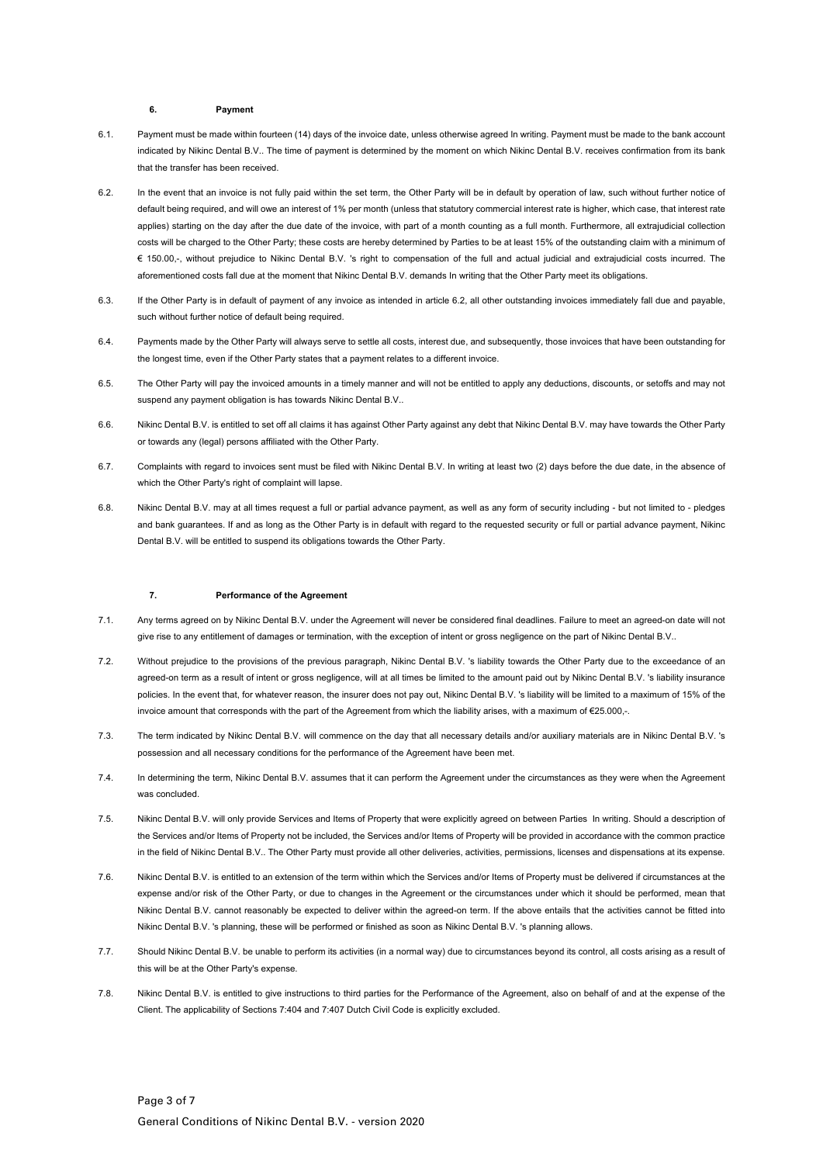# **6. Payment**

- 6.1. Payment must be made within fourteen (14) days of the invoice date, unless otherwise agreed In writing. Payment must be made to the bank account indicated by Nikinc Dental B.V.. The time of payment is determined by the moment on which Nikinc Dental B.V. receives confirmation from its bank that the transfer has been received.
- 6.2. In the event that an invoice is not fully paid within the set term, the Other Party will be in default by operation of law, such without further notice of default being required, and will owe an interest of 1% per month (unless that statutory commercial interest rate is higher, which case, that interest rate applies) starting on the day after the due date of the invoice, with part of a month counting as a full month. Furthermore, all extrajudicial collection costs will be charged to the Other Party; these costs are hereby determined by Parties to be at least 15% of the outstanding claim with a minimum of € 150.00,-, without prejudice to Nikinc Dental B.V. 's right to compensation of the full and actual judicial and extrajudicial costs incurred. The aforementioned costs fall due at the moment that Nikinc Dental B.V. demands In writing that the Other Party meet its obligations.
- 6.3. If the Other Party is in default of payment of any invoice as intended in article 6.2, all other outstanding invoices immediately fall due and payable, such without further notice of default being required.
- 6.4. Payments made by the Other Party will always serve to settle all costs, interest due, and subsequently, those invoices that have been outstanding for the longest time, even if the Other Party states that a payment relates to a different invoice.
- 6.5. The Other Party will pay the invoiced amounts in a timely manner and will not be entitled to apply any deductions, discounts, or setoffs and may not suspend any payment obligation is has towards Nikinc Dental B.V..
- 6.6. Nikinc Dental B.V. is entitled to set off all claims it has against Other Party against any debt that Nikinc Dental B.V. may have towards the Other Party or towards any (legal) persons affiliated with the Other Party.
- 6.7. Complaints with regard to invoices sent must be filed with Nikinc Dental B.V. In writing at least two (2) days before the due date, in the absence of which the Other Party's right of complaint will lapse.
- 6.8. Nikinc Dental B.V. may at all times request a full or partial advance payment, as well as any form of security including but not limited to pledges and bank guarantees. If and as long as the Other Party is in default with regard to the requested security or full or partial advance payment, Nikinc Dental B.V. will be entitled to suspend its obligations towards the Other Party.

#### **7. Performance of the Agreement**

- 7.1. Any terms agreed on by Nikinc Dental B.V. under the Agreement will never be considered final deadlines. Failure to meet an agreed-on date will not give rise to any entitlement of damages or termination, with the exception of intent or gross negligence on the part of Nikinc Dental B.V..
- 7.2. Without prejudice to the provisions of the previous paragraph, Nikinc Dental B.V. 's liability towards the Other Party due to the exceedance of an agreed-on term as a result of intent or gross negligence, will at all times be limited to the amount paid out by Nikinc Dental B.V. 's liability insurance policies. In the event that, for whatever reason, the insurer does not pay out, Nikinc Dental B.V. 's liability will be limited to a maximum of 15% of the invoice amount that corresponds with the part of the Agreement from which the liability arises, with a maximum of €25.000,-.
- 7.3. The term indicated by Nikinc Dental B.V. will commence on the day that all necessary details and/or auxiliary materials are in Nikinc Dental B.V. 's possession and all necessary conditions for the performance of the Agreement have been met.
- 7.4. In determining the term, Nikinc Dental B.V. assumes that it can perform the Agreement under the circumstances as they were when the Agreement was concluded.
- 7.5. Nikinc Dental B.V. will only provide Services and Items of Property that were explicitly agreed on between Parties In writing. Should a description of the Services and/or Items of Property not be included, the Services and/or Items of Property will be provided in accordance with the common practice in the field of Nikinc Dental B.V.. The Other Party must provide all other deliveries, activities, permissions, licenses and dispensations at its expense.
- 7.6. Nikinc Dental B.V. is entitled to an extension of the term within which the Services and/or Items of Property must be delivered if circumstances at the expense and/or risk of the Other Party, or due to changes in the Agreement or the circumstances under which it should be performed, mean that Nikinc Dental B.V. cannot reasonably be expected to deliver within the agreed-on term. If the above entails that the activities cannot be fitted into Nikinc Dental B.V. 's planning, these will be performed or finished as soon as Nikinc Dental B.V. 's planning allows.
- 7.7. Should Nikinc Dental B.V. be unable to perform its activities (in a normal way) due to circumstances beyond its control, all costs arising as a result of this will be at the Other Party's expense.
- 7.8. Nikinc Dental B.V. is entitled to give instructions to third parties for the Performance of the Agreement, also on behalf of and at the expense of the Client. The applicability of Sections 7:404 and 7:407 Dutch Civil Code is explicitly excluded.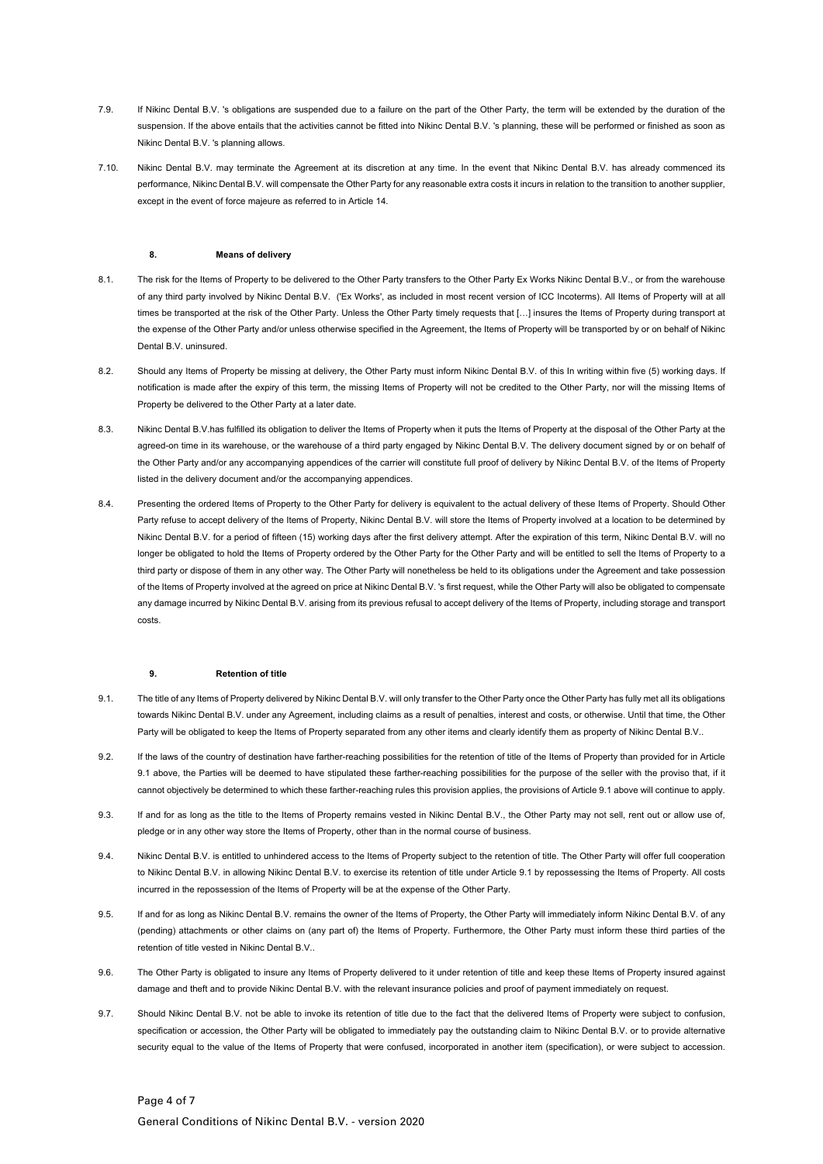- 7.9. If Nikinc Dental B.V. 's obligations are suspended due to a failure on the part of the Other Party, the term will be extended by the duration of the suspension. If the above entails that the activities cannot be fitted into Nikinc Dental B.V. 's planning, these will be performed or finished as soon as Nikinc Dental B.V. 's planning allows.
- 7.10. Nikinc Dental B.V. may terminate the Agreement at its discretion at any time. In the event that Nikinc Dental B.V. has already commenced its performance, Nikinc Dental B.V. will compensate the Other Party for any reasonable extra costs it incurs in relation to the transition to another supplier, except in the event of force majeure as referred to in Article 14.

# **8. Means of delivery**

- 8.1. The risk for the Items of Property to be delivered to the Other Party transfers to the Other Party Ex Works Nikinc Dental B.V., or from the warehouse of any third party involved by Nikinc Dental B.V. ('Ex Works', as included in most recent version of ICC Incoterms). All Items of Property will at all times be transported at the risk of the Other Party. Unless the Other Party timely requests that [...] insures the Items of Property during transport at the expense of the Other Party and/or unless otherwise specified in the Agreement, the Items of Property will be transported by or on behalf of Nikinc Dental B.V. uninsured.
- 8.2. Should any Items of Property be missing at delivery, the Other Party must inform Nikinc Dental B.V. of this In writing within five (5) working days. If notification is made after the expiry of this term, the missing Items of Property will not be credited to the Other Party, nor will the missing Items of Property be delivered to the Other Party at a later date.
- 8.3. Nikinc Dental B.V.has fulfilled its obligation to deliver the Items of Property when it puts the Items of Property at the disposal of the Other Party at the agreed-on time in its warehouse, or the warehouse of a third party engaged by Nikinc Dental B.V. The delivery document signed by or on behalf of the Other Party and/or any accompanying appendices of the carrier will constitute full proof of delivery by Nikinc Dental B.V. of the Items of Property listed in the delivery document and/or the accompanying appendices.
- 8.4. Presenting the ordered Items of Property to the Other Party for delivery is equivalent to the actual delivery of these Items of Property. Should Other Party refuse to accept delivery of the Items of Property, Nikinc Dental B.V. will store the Items of Property involved at a location to be determined by Nikinc Dental B.V. for a period of fifteen (15) working days after the first delivery attempt. After the expiration of this term, Nikinc Dental B.V. will no longer be obligated to hold the Items of Property ordered by the Other Party for the Other Party and will be entitled to sell the Items of Property to a third party or dispose of them in any other way. The Other Party will nonetheless be held to its obligations under the Agreement and take possession of the Items of Property involved at the agreed on price at Nikinc Dental B.V. 's first request, while the Other Party will also be obligated to compensate any damage incurred by Nikinc Dental B.V. arising from its previous refusal to accept delivery of the Items of Property, including storage and transport costs.

#### **9. Retention of title**

- 9.1. The title of any Items of Property delivered by Nikinc Dental B.V. will only transfer to the Other Party once the Other Party has fully met all its obligations towards Nikinc Dental B.V. under any Agreement, including claims as a result of penalties, interest and costs, or otherwise. Until that time, the Other Party will be obligated to keep the Items of Property separated from any other items and clearly identify them as property of Nikinc Dental B.V..
- 9.2. If the laws of the country of destination have farther-reaching possibilities for the retention of title of the Items of Property than provided for in Article 9.1 above, the Parties will be deemed to have stipulated these farther-reaching possibilities for the purpose of the seller with the proviso that, if it cannot objectively be determined to which these farther-reaching rules this provision applies, the provisions of Article 9.1 above will continue to apply.
- 9.3. If and for as long as the title to the Items of Property remains vested in Nikinc Dental B.V., the Other Party may not sell, rent out or allow use of, pledge or in any other way store the Items of Property, other than in the normal course of business.
- 9.4. Nikinc Dental B.V. is entitled to unhindered access to the Items of Property subject to the retention of title. The Other Party will offer full cooperation to Nikinc Dental B.V. in allowing Nikinc Dental B.V. to exercise its retention of title under Article 9.1 by repossessing the Items of Property. All costs incurred in the repossession of the Items of Property will be at the expense of the Other Party.
- 9.5. If and for as long as Nikinc Dental B.V. remains the owner of the Items of Property, the Other Party will immediately inform Nikinc Dental B.V. of any (pending) attachments or other claims on (any part of) the Items of Property. Furthermore, the Other Party must inform these third parties of the retention of title vested in Nikinc Dental B.V..
- 9.6. The Other Party is obligated to insure any Items of Property delivered to it under retention of title and keep these Items of Property insured against damage and theft and to provide Nikinc Dental B.V. with the relevant insurance policies and proof of payment immediately on request.
- 9.7. Should Nikinc Dental B.V. not be able to invoke its retention of title due to the fact that the delivered Items of Property were subject to confusion specification or accession, the Other Party will be obligated to immediately pay the outstanding claim to Nikinc Dental B.V. or to provide alternative security equal to the value of the Items of Property that were confused, incorporated in another item (specification), or were subject to accession.

# Page 4 of 7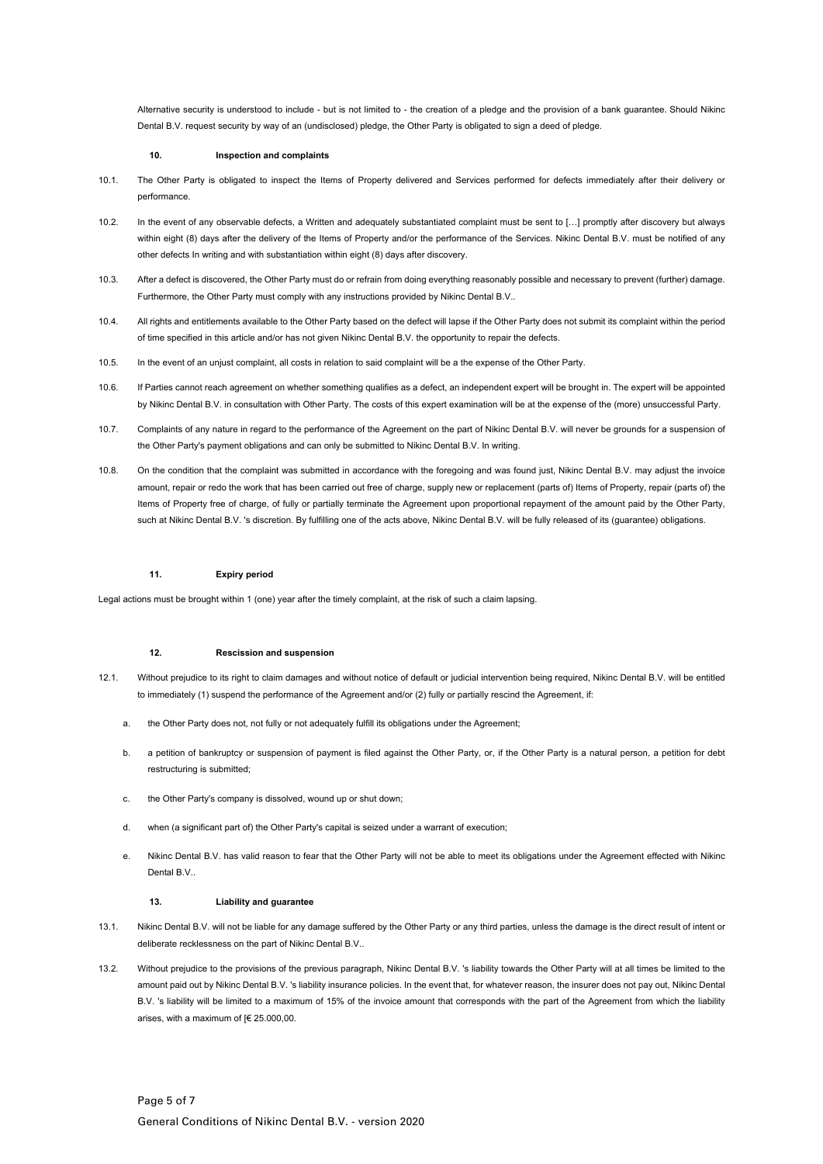Alternative security is understood to include - but is not limited to - the creation of a pledge and the provision of a bank guarantee. Should Nikinc Dental B.V. request security by way of an (undisclosed) pledge, the Other Party is obligated to sign a deed of pledge.

#### **10. Inspection and complaints**

- 10.1. The Other Party is obligated to inspect the Items of Property delivered and Services performed for defects immediately after their delivery or performance.
- 10.2. In the event of any observable defects, a Written and adequately substantiated complaint must be sent to […] promptly after discovery but always within eight (8) days after the delivery of the Items of Property and/or the performance of the Services. Nikinc Dental B.V. must be notified of any other defects In writing and with substantiation within eight (8) days after discovery.
- 10.3. After a defect is discovered, the Other Party must do or refrain from doing everything reasonably possible and necessary to prevent (further) damage. Furthermore, the Other Party must comply with any instructions provided by Nikinc Dental B.V..
- 10.4. All rights and entitlements available to the Other Party based on the defect will lapse if the Other Party does not submit its complaint within the period of time specified in this article and/or has not given Nikinc Dental B.V. the opportunity to repair the defects.
- 10.5. In the event of an unjust complaint, all costs in relation to said complaint will be a the expense of the Other Party.
- 10.6. If Parties cannot reach agreement on whether something qualifies as a defect, an independent expert will be brought in. The expert will be appointed by Nikinc Dental B.V. in consultation with Other Party. The costs of this expert examination will be at the expense of the (more) unsuccessful Party.
- 10.7. Complaints of any nature in regard to the performance of the Agreement on the part of Nikinc Dental B.V. will never be grounds for a suspension of the Other Party's payment obligations and can only be submitted to Nikinc Dental B.V. In writing.
- 10.8. On the condition that the complaint was submitted in accordance with the foregoing and was found just, Nikinc Dental B.V. may adjust the invoice amount, repair or redo the work that has been carried out free of charge, supply new or replacement (parts of) Items of Property, repair (parts of) the Items of Property free of charge, of fully or partially terminate the Agreement upon proportional repayment of the amount paid by the Other Party, such at Nikinc Dental B.V. 's discretion. By fulfilling one of the acts above, Nikinc Dental B.V. will be fully released of its (guarantee) obligations.

# **11. Expiry period**

Legal actions must be brought within 1 (one) year after the timely complaint, at the risk of such a claim lapsing.

#### **12. Rescission and suspension**

- 12.1. Without prejudice to its right to claim damages and without notice of default or judicial intervention being required, Nikinc Dental B.V. will be entitled to immediately (1) suspend the performance of the Agreement and/or (2) fully or partially rescind the Agreement, if:
	- a. the Other Party does not, not fully or not adequately fulfill its obligations under the Agreement;
	- b. a petition of bankruptcy or suspension of payment is filed against the Other Party, or, if the Other Party is a natural person, a petition for debt restructuring is submitted;
	- c. the Other Party's company is dissolved, wound up or shut down;
	- d. when (a significant part of) the Other Party's capital is seized under a warrant of execution;
	- e. Nikinc Dental B.V. has valid reason to fear that the Other Party will not be able to meet its obligations under the Agreement effected with Nikinc Dental B.V..

# **13. Liability and guarantee**

- 13.1. Nikinc Dental B.V. will not be liable for any damage suffered by the Other Party or any third parties, unless the damage is the direct result of intent or deliberate recklessness on the part of Nikinc Dental B.V..
- 13.2. Without prejudice to the provisions of the previous paragraph, Nikinc Dental B.V. 's liability towards the Other Party will at all times be limited to the amount paid out by Nikinc Dental B.V. 's liability insurance policies. In the event that, for whatever reason, the insurer does not pay out, Nikinc Dental B.V. 's liability will be limited to a maximum of 15% of the invoice amount that corresponds with the part of the Agreement from which the liability arises, with a maximum of  $[6, 25, 000, 00]$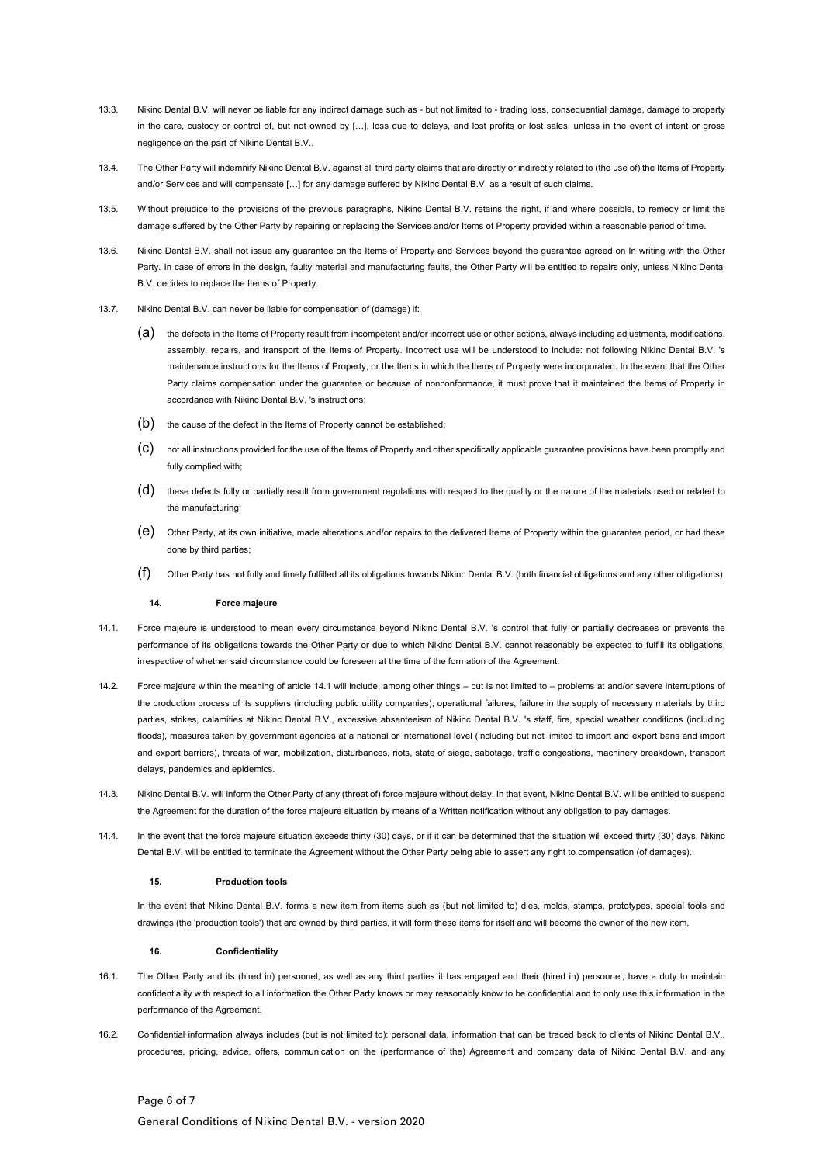- 13.3. Nikinc Dental B.V. will never be liable for any indirect damage such as but not limited to trading loss, consequential damage, damage to property in the care, custody or control of, but not owned by […], loss due to delays, and lost profits or lost sales, unless in the event of intent or gross negligence on the part of Nikinc Dental B.V..
- 13.4. The Other Party will indemnify Nikinc Dental B.V. against all third party claims that are directly or indirectly related to (the use of) the Items of Property and/or Services and will compensate […] for any damage suffered by Nikinc Dental B.V. as a result of such claims.
- 13.5. Without prejudice to the provisions of the previous paragraphs, Nikinc Dental B.V. retains the right, if and where possible, to remedy or limit the damage suffered by the Other Party by repairing or replacing the Services and/or Items of Property provided within a reasonable period of time.
- 13.6. Nikinc Dental B.V. shall not issue any guarantee on the Items of Property and Services beyond the guarantee agreed on In writing with the Other Party. In case of errors in the design, faulty material and manufacturing faults, the Other Party will be entitled to repairs only, unless Nikinc Dental B.V. decides to replace the Items of Property.
- 13.7. Nikinc Dental B.V. can never be liable for compensation of (damage) if:
	- (a) the defects in the Items of Property result from incompetent and/or incorrect use or other actions, always including adjustments, modifications, assembly, repairs, and transport of the Items of Property. Incorrect use will be understood to include: not following Nikinc Dental B.V. 's maintenance instructions for the Items of Property, or the Items in which the Items of Property were incorporated. In the event that the Other Party claims compensation under the guarantee or because of nonconformance, it must prove that it maintained the Items of Property in accordance with Nikinc Dental B.V. 's instructions;
	- (b) the cause of the defect in the Items of Property cannot be established;
	- (c) not all instructions provided for the use of the Items of Property and other specifically applicable guarantee provisions have been promptly and fully complied with:
	- (d) these defects fully or partially result from government regulations with respect to the quality or the nature of the materials used or related to the manufacturing;
	- (e) Other Party, at its own initiative, made alterations and/or repairs to the delivered Items of Property within the guarantee period, or had these done by third parties;
	- Other Party has not fully and timely fulfilled all its obligations towards Nikinc Dental B.V. (both financial obligations and any other obligations).

#### **14. Force majeure**

- 14.1. Force majeure is understood to mean every circumstance beyond Nikinc Dental B.V. 's control that fully or partially decreases or prevents the performance of its obligations towards the Other Party or due to which Nikinc Dental B.V. cannot reasonably be expected to fulfill its obligations, irrespective of whether said circumstance could be foreseen at the time of the formation of the Agreement.
- 14.2. Force majeure within the meaning of article 14.1 will include, among other things but is not limited to problems at and/or severe interruptions of the production process of its suppliers (including public utility companies), operational failures, failure in the supply of necessary materials by third parties, strikes, calamities at Nikinc Dental B.V., excessive absenteeism of Nikinc Dental B.V. 's staff, fire, special weather conditions (including floods), measures taken by government agencies at a national or international level (including but not limited to import and export bans and import and export barriers), threats of war, mobilization, disturbances, riots, state of siege, sabotage, traffic congestions, machinery breakdown, transport delays, pandemics and epidemics.
- 14.3. Nikinc Dental B.V. will inform the Other Party of any (threat of) force majeure without delay. In that event, Nikinc Dental B.V. will be entitled to suspend the Agreement for the duration of the force majeure situation by means of a Written notification without any obligation to pay damages.
- 14.4. In the event that the force majeure situation exceeds thirty (30) days, or if it can be determined that the situation will exceed thirty (30) days, Nikinc Dental B.V. will be entitled to terminate the Agreement without the Other Party being able to assert any right to compensation (of damages).

# **15. Production tools**

In the event that Nikinc Dental B.V. forms a new item from items such as (but not limited to) dies, molds, stamps, prototypes, special tools and drawings (the 'production tools') that are owned by third parties, it will form these items for itself and will become the owner of the new item.

#### **16. Confidentiality**

- 16.1. The Other Party and its (hired in) personnel, as well as any third parties it has engaged and their (hired in) personnel, have a duty to maintain confidentiality with respect to all information the Other Party knows or may reasonably know to be confidential and to only use this information in the performance of the Agreement.
- 16.2. Confidential information always includes (but is not limited to): personal data, information that can be traced back to clients of Nikinc Dental B.V., procedures, pricing, advice, offers, communication on the (performance of the) Agreement and company data of Nikinc Dental B.V. and any